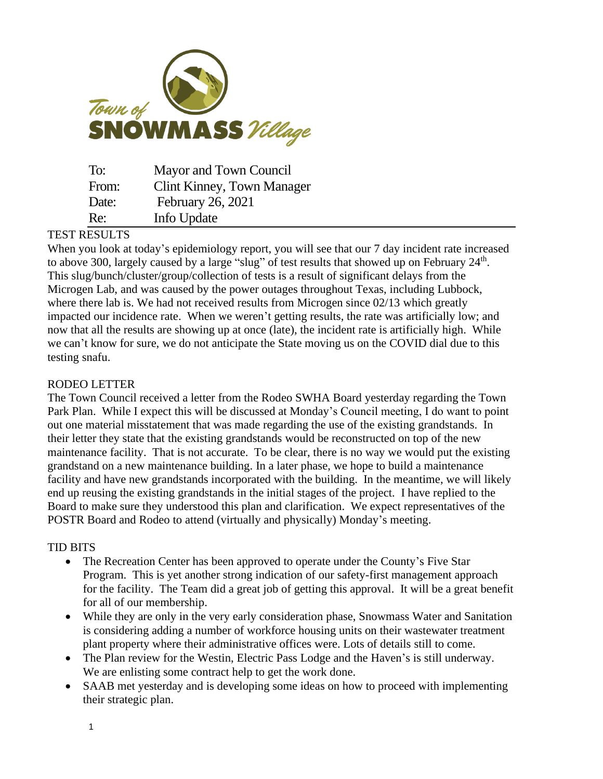

| To:   | Mayor and Town Council     |
|-------|----------------------------|
| From: | Clint Kinney, Town Manager |
| Date: | February 26, 2021          |
| Re:   | Info Update                |

## TEST RESULTS

When you look at today's epidemiology report, you will see that our 7 day incident rate increased to above 300, largely caused by a large "slug" of test results that showed up on February  $24<sup>th</sup>$ . This slug/bunch/cluster/group/collection of tests is a result of significant delays from the Microgen Lab, and was caused by the power outages throughout Texas, including Lubbock, where there lab is. We had not received results from Microgen since 02/13 which greatly impacted our incidence rate. When we weren't getting results, the rate was artificially low; and now that all the results are showing up at once (late), the incident rate is artificially high. While we can't know for sure, we do not anticipate the State moving us on the COVID dial due to this testing snafu.

## RODEO LETTER

The Town Council received a letter from the Rodeo SWHA Board yesterday regarding the Town Park Plan. While I expect this will be discussed at Monday's Council meeting, I do want to point out one material misstatement that was made regarding the use of the existing grandstands. In their letter they state that the existing grandstands would be reconstructed on top of the new maintenance facility. That is not accurate. To be clear, there is no way we would put the existing grandstand on a new maintenance building. In a later phase, we hope to build a maintenance facility and have new grandstands incorporated with the building. In the meantime, we will likely end up reusing the existing grandstands in the initial stages of the project. I have replied to the Board to make sure they understood this plan and clarification. We expect representatives of the POSTR Board and Rodeo to attend (virtually and physically) Monday's meeting.

## TID BITS

- The Recreation Center has been approved to operate under the County's Five Star Program. This is yet another strong indication of our safety-first management approach for the facility. The Team did a great job of getting this approval. It will be a great benefit for all of our membership.
- While they are only in the very early consideration phase, Snowmass Water and Sanitation is considering adding a number of workforce housing units on their wastewater treatment plant property where their administrative offices were. Lots of details still to come.
- The Plan review for the Westin, Electric Pass Lodge and the Haven's is still underway. We are enlisting some contract help to get the work done.
- SAAB met yesterday and is developing some ideas on how to proceed with implementing their strategic plan.